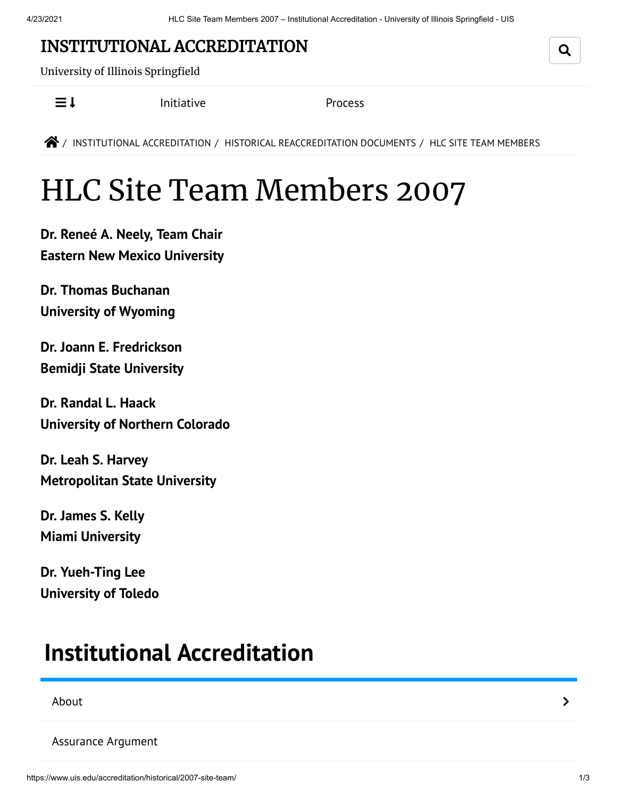### INSTITUTIONAL [ACCREDITATION](https://www.uis.edu/accreditation/)

University of Illinois Springfield

 $\equiv$   $\downarrow$  [Initiative](https://www.uis.edu/accreditation/quality/) [Process](https://www.uis.edu/accreditation/about/)

**<sup>2</sup>/** INSTITUTIONAL [ACCREDITATION](https://www.uis.edu/accreditation/) / HISTORICAL [REACCREDITATION](https://www.uis.edu/accreditation/historical/) DOCUMENTS / HLC SITE TEAM MEMBERS

# HLC Site Team Members 2007

**Dr. Reneé A. Neely, Team Chair Eastern New Mexico [University](http://www.enmu.edu/)**

**Dr. Thomas Buchanan [University](http://www.uwyo.edu/) of Wyoming**

**Dr. Joann E. Fredrickson Bemidji State [University](http://www.bemidjistate.edu/)**

**Dr. Randal L. Haack [University](http://www.unco.edu/) of Northern Colorado**

**Dr. Leah S. Harvey [Metropolitan](http://www.metrostate.edu/) State University**

**Dr. James S. Kelly Miami [University](http://www.miami.muohio.edu/)**

**Dr. Yueh-Ting Lee [University](http://www.utoledo.edu/) of Toledo**

## <span id="page-0-0"></span>**Institutional [Accreditation](https://www.uis.edu/accreditation/)**

#### [About](https://www.uis.edu/accreditation/about/) the contract of the contract of the contract of the contract of the contract of the contract of the contract of the contract of the contract of the contract of the contract of the contract of the contract of the cont

Q

[Assurance](https://www.uis.edu/accreditation/assurance/) Argument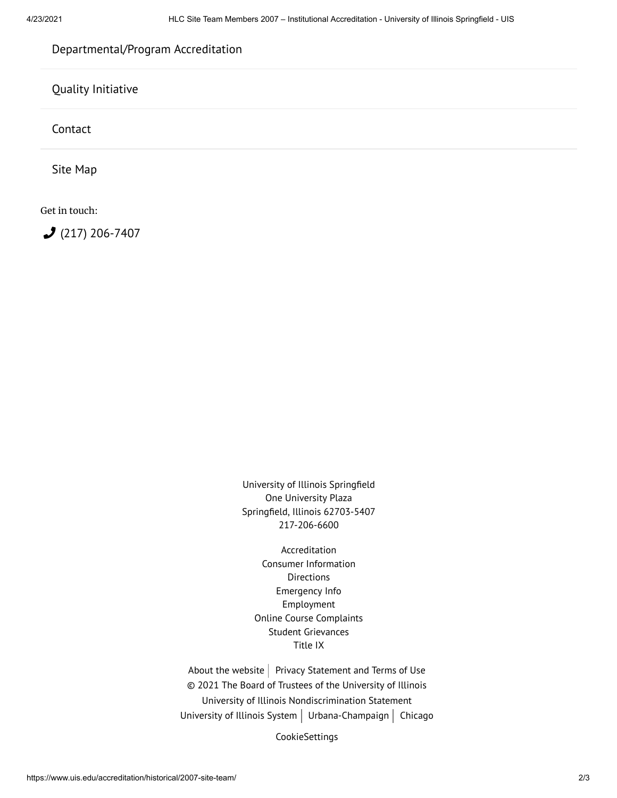### [Departmental/Program](https://www.uis.edu/accreditation/departmental-program-accreditation/) Accreditation

Quality [Initiative](https://www.uis.edu/accreditation/quality/)

[Contact](https://www.uis.edu/accreditation/contact/)

Site [Map](https://www.uis.edu/accreditation/sitemap/)

Get in touch:

 $2(217)$  [206-7407](tel:(217)%20206-7407)

University of Illinois Springfield One University Plaza Springfield, Illinois 62703-5407 217-206-6600

[Accreditation](https://www.uis.edu/accreditation/) Consumer [Information](https://www.uis.edu/about/student-consumer-information/) [Directions](https://www.uis.edu/about/visit/drivingdirections/) [Emergency](https://www.uis.edu/emergencies/) Info [Employment](https://jobs.uis.edu/) Online Course [Complaints](https://forms.uofi.uis.edu/sec/6417829) Student [Grievances](https://www.uis.edu/academicaffairs/departmentofeducationcomplaintprocess/) [Title](https://www.uis.edu/titleix/) IX

About the [website](https://www.uis.edu/about/explore/website/)  $\vert$  Privacy [Statement](https://www.vpaa.uillinois.edu/resources/web_privacy) and Terms of Use © 2021 The Board of Trustees of the University of Illinois University of Illinois [Nondiscrimination](https://www.hr.uillinois.edu/cms/One.aspx?portalId=4292&pageId=5671) Statement [University](https://www.uillinois.edu/) of Illinois System  $\vert$  [Urbana-Champaign](https://illinois.edu/)  $\vert$  [Chicago](http://www.uic.edu/)

CookieSettings